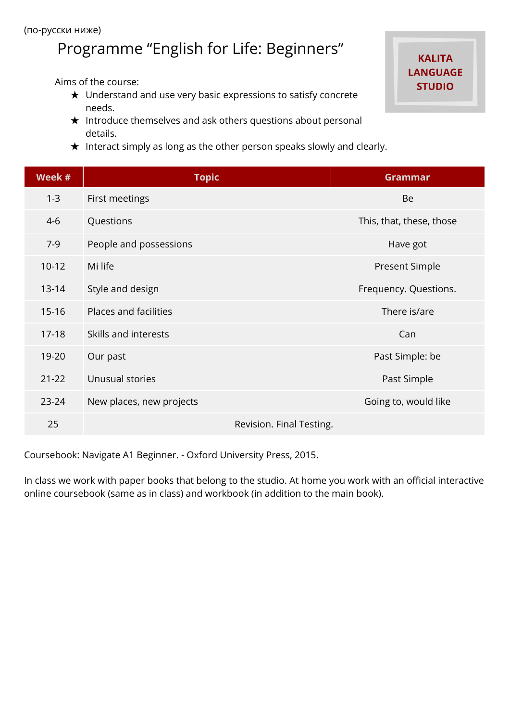## Programme "English for Life: Beginners"

Aims of the course:

- ★ Understand and use very basic expressions to satisfy concrete needs.
- ★ Introduce themselves and ask others questions about personal details.
- ★ Interact simply as long as the other person speaks slowly and clearly.

| <b>KALITA</b>   |  |  |  |  |
|-----------------|--|--|--|--|
| <b>LANGUAGE</b> |  |  |  |  |
| <b>STUDIO</b>   |  |  |  |  |

| Week #    | <b>Topic</b>             | <b>Grammar</b>           |
|-----------|--------------------------|--------------------------|
| $1 - 3$   | First meetings           | <b>Be</b>                |
| $4-6$     | Questions                | This, that, these, those |
| $7-9$     | People and possessions   | Have got                 |
| $10 - 12$ | Mi life                  | Present Simple           |
| $13 - 14$ | Style and design         | Frequency. Questions.    |
| $15 - 16$ | Places and facilities    | There is/are             |
| $17 - 18$ | Skills and interests     | Can                      |
| 19-20     | Our past                 | Past Simple: be          |
| $21 - 22$ | Unusual stories          | Past Simple              |
| $23 - 24$ | New places, new projects | Going to, would like     |
| 25        | Revision. Final Testing. |                          |

Coursebook: Navigate A1 Beginner. - Oxford University Press, 2015.

In class we work with paper books that belong to the studio. At home you work with an official interactive online coursebook (same as in class) and workbook (in addition to the main book).